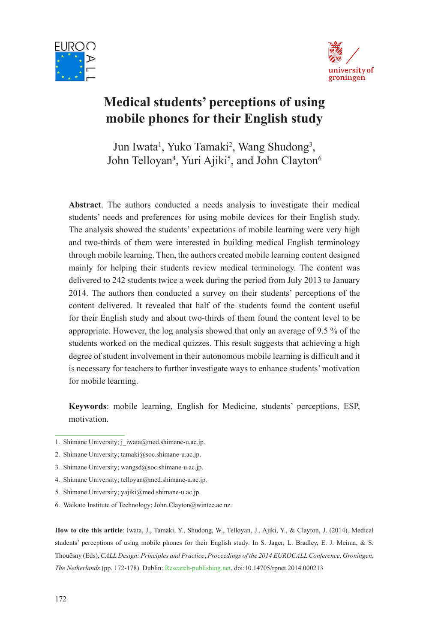



# **Medical students' perceptions of using mobile phones for their English study**

Jun Iwata<sup>1</sup>, Yuko Tamaki<sup>2</sup>, Wang Shudong<sup>3</sup>, John Telloyan<sup>4</sup>, Yuri Ajiki<sup>5</sup>, and John Clayton<sup>6</sup>

**Abstract**. The authors conducted a needs analysis to investigate their medical students' needs and preferences for using mobile devices for their English study. The analysis showed the students' expectations of mobile learning were very high and two-thirds of them were interested in building medical English terminology through mobile learning. Then, the authors created mobile learning content designed mainly for helping their students review medical terminology. The content was delivered to 242 students twice a week during the period from July 2013 to January 2014. The authors then conducted a survey on their students' perceptions of the content delivered. It revealed that half of the students found the content useful for their English study and about two-thirds of them found the content level to be appropriate. However, the log analysis showed that only an average of 9.5 % of the students worked on the medical quizzes. This result suggests that achieving a high degree of student involvement in their autonomous mobile learning is difficult and it is necessary for teachers to further investigate ways to enhance students' motivation for mobile learning.

**Keywords**: mobile learning, English for Medicine, students' perceptions, ESP, motivation.

**How to cite this article**: Iwata, J., Tamaki, Y., Shudong, W., Telloyan, J., Ajiki, Y., & Clayton, J. (2014). Medical students' perceptions of using mobile phones for their English study. In S. Jager, L. Bradley, E. J. Meima, & S. Thouësny (Eds), *CALL Design: Principles and Practice*; *Proceedings of the 2014 EUROCALL Conference, Groningen, The Netherlands* (pp. 172-178). Dublin: Research-publishing.net. doi:10.14705/rpnet.2014.000213

<sup>1.</sup> Shimane University; j\_iwata@med.shimane-u.ac.jp.

<sup>2.</sup> Shimane University; tamaki@soc.shimane-u.ac.jp.

<sup>3.</sup> Shimane University; wangsd@soc.shimane-u.ac.jp.

<sup>4.</sup> Shimane University; telloyan@med.shimane-u.ac.jp.

<sup>5.</sup> Shimane University; yajiki@med.shimane-u.ac.jp.

<sup>6.</sup> Waikato Institute of Technology; John.Clayton@wintec.ac.nz.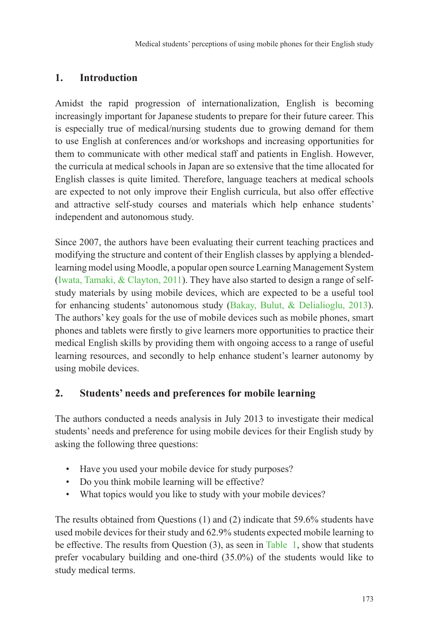# **1. Introduction**

Amidst the rapid progression of internationalization, English is becoming increasingly important for Japanese students to prepare for their future career. This is especially true of medical/nursing students due to growing demand for them to use English at conferences and/or workshops and increasing opportunities for them to communicate with other medical staff and patients in English. However, the curricula at medical schools in Japan are so extensive that the time allocated for English classes is quite limited. Therefore, language teachers at medical schools are expected to not only improve their English curricula, but also offer effective and attractive self-study courses and materials which help enhance students' independent and autonomous study.

Since 2007, the authors have been evaluating their current teaching practices and modifying the structure and content of their English classes by applying a blendedlearning model using Moodle, a popular open source Learning Management System (Iwata, Tamaki, & Clayton, 2011). They have also started to design a range of selfstudy materials by using mobile devices, which are expected to be a useful tool for enhancing students' autonomous study (Bakay, Bulut, & Delialioglu, 2013). The authors' key goals for the use of mobile devices such as mobile phones, smart phones and tablets were firstly to give learners more opportunities to practice their medical English skills by providing them with ongoing access to a range of useful learning resources, and secondly to help enhance student's learner autonomy by using mobile devices.

## **2. Students' needs and preferences for mobile learning**

The authors conducted a needs analysis in July 2013 to investigate their medical students' needs and preference for using mobile devices for their English study by asking the following three questions:

- Have you used your mobile device for study purposes?
- Do you think mobile learning will be effective?
- What topics would you like to study with your mobile devices?

The results obtained from Questions (1) and (2) indicate that 59.6% students have used mobile devices for their study and 62.9% students expected mobile learning to be effective. The results from Question (3), as seen in Table 1, show that students prefer vocabulary building and one-third (35.0%) of the students would like to study medical terms.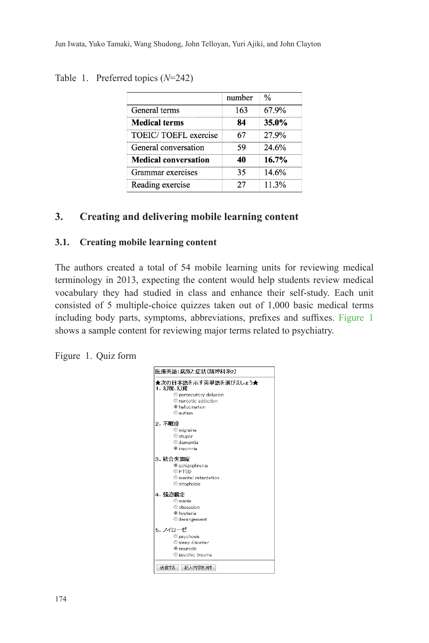### Table 1. Preferred topics (*N*=242)

|                             | number | $\frac{0}{6}$ |
|-----------------------------|--------|---------------|
| General terms               | 163    | 67.9%         |
| <b>Medical terms</b>        | 84     | 35.0%         |
| <b>TOEIC/TOEFL</b> exercise | 67     | 27.9%         |
| General conversation        | 59     | 24.6%         |
| <b>Medical conversation</b> | 40     | 16.7%         |
| Grammar exercises           | 35     | 14.6%         |
| Reading exercise            | 27     | 11.3%         |

## **3. Creating and delivering mobile learning content**

### **3.1. Creating mobile learning content**

The authors created a total of 54 mobile learning units for reviewing medical terminology in 2013, expecting the content would help students review medical vocabulary they had studied in class and enhance their self-study. Each unit consisted of 5 multiple-choice quizzes taken out of 1,000 basic medical terms including body parts, symptoms, abbreviations, prefixes and suffixes. Figure 1 shows a sample content for reviewing major terms related to psychiatry.

Figure 1. Quiz form

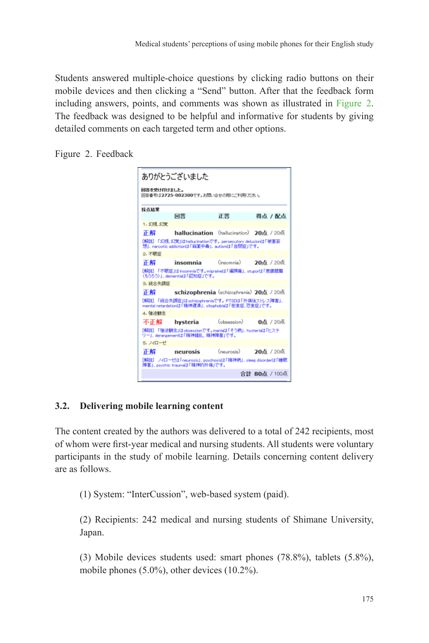Students answered multiple-choice questions by clicking radio buttons on their mobile devices and then clicking a "Send" button. After that the feedback form including answers, points, and comments was shown as illustrated in Figure 2. The feedback was designed to be helpful and informative for students by giving detailed comments on each targeted term and other options.

Figure 2. Feedback



## **3.2. Delivering mobile learning content**

The content created by the authors was delivered to a total of 242 recipients, most of whom were first-year medical and nursing students. All students were voluntary participants in the study of mobile learning. Details concerning content delivery are as follows.

(1) System: "InterCussion", web-based system (paid).

(2) Recipients: 242 medical and nursing students of Shimane University, Japan.

(3) Mobile devices students used: smart phones (78.8%), tablets (5.8%), mobile phones (5.0%), other devices (10.2%).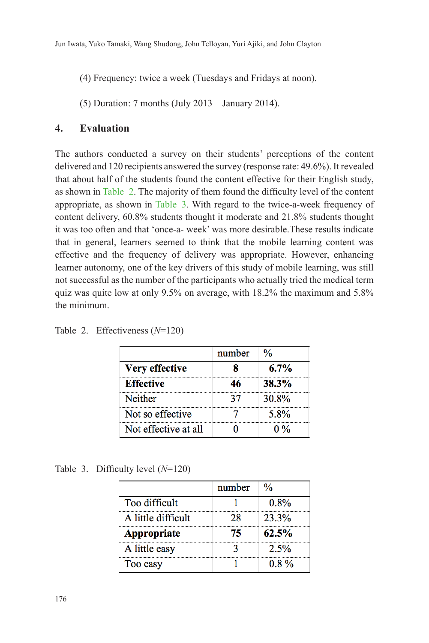(4) Frequency: twice a week (Tuesdays and Fridays at noon).

(5) Duration: 7 months (July 2013 – January 2014).

### **4. Evaluation**

The authors conducted a survey on their students' perceptions of the content delivered and 120 recipients answered the survey (response rate: 49.6%). It revealed that about half of the students found the content effective for their English study, as shown in Table 2. The majority of them found the difficulty level of the content appropriate, as shown in Table 3. With regard to the twice-a-week frequency of content delivery, 60.8% students thought it moderate and 21.8% students thought it was too often and that 'once-a- week' was more desirable.These results indicate that in general, learners seemed to think that the mobile learning content was effective and the frequency of delivery was appropriate. However, enhancing learner autonomy, one of the key drivers of this study of mobile learning, was still not successful as the number of the participants who actually tried the medical term quiz was quite low at only 9.5% on average, with 18.2% the maximum and 5.8% the minimum.

|                       | number | $\frac{0}{6}$ |
|-----------------------|--------|---------------|
| <b>Very effective</b> |        | 6.7%          |
| <b>Effective</b>      | 46     | 38.3%         |
| Neither               | 37     | 30.8%         |
| Not so effective      |        | 5.8%          |
| Not effective at all  |        | $0\%$         |

Table 2. Effectiveness (*N*=120)

Table 3. Difficulty level (*N*=120)

|                    | number | $\frac{0}{6}$ |
|--------------------|--------|---------------|
| Too difficult      |        | $0.8\%$       |
| A little difficult | 28     | 23.3%         |
| Appropriate        | 75     | 62.5%         |
| A little easy      |        | 2.5%          |
| Too easy           |        | $0.8\%$       |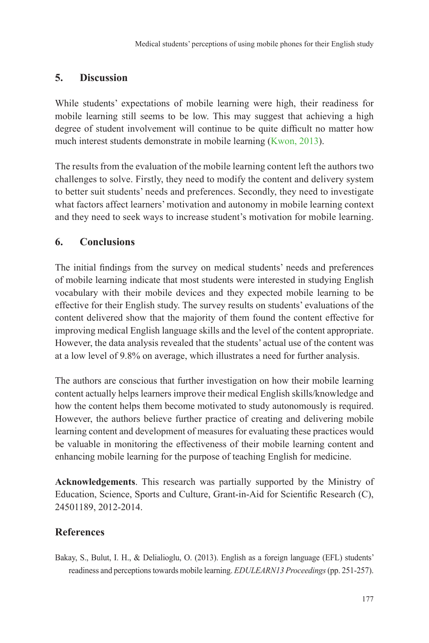# **5. Discussion**

While students' expectations of mobile learning were high, their readiness for mobile learning still seems to be low. This may suggest that achieving a high degree of student involvement will continue to be quite difficult no matter how much interest students demonstrate in mobile learning (Kwon, 2013).

The results from the evaluation of the mobile learning content left the authors two challenges to solve. Firstly, they need to modify the content and delivery system to better suit students' needs and preferences. Secondly, they need to investigate what factors affect learners' motivation and autonomy in mobile learning context and they need to seek ways to increase student's motivation for mobile learning.

## **6. Conclusions**

The initial findings from the survey on medical students' needs and preferences of mobile learning indicate that most students were interested in studying English vocabulary with their mobile devices and they expected mobile learning to be effective for their English study. The survey results on students' evaluations of the content delivered show that the majority of them found the content effective for improving medical English language skills and the level of the content appropriate. However, the data analysis revealed that the students' actual use of the content was at a low level of 9.8% on average, which illustrates a need for further analysis.

The authors are conscious that further investigation on how their mobile learning content actually helps learners improve their medical English skills/knowledge and how the content helps them become motivated to study autonomously is required. However, the authors believe further practice of creating and delivering mobile learning content and development of measures for evaluating these practices would be valuable in monitoring the effectiveness of their mobile learning content and enhancing mobile learning for the purpose of teaching English for medicine.

**Acknowledgements**. This research was partially supported by the Ministry of Education, Science, Sports and Culture, Grant-in-Aid for Scientific Research (C), 24501189, 2012-2014.

## **References**

Bakay, S., Bulut, I. H., & Delialioglu, O. (2013). English as a foreign language (EFL) students' readiness and perceptions towards mobile learning. *EDULEARN13 Proceedings* (pp. 251-257).